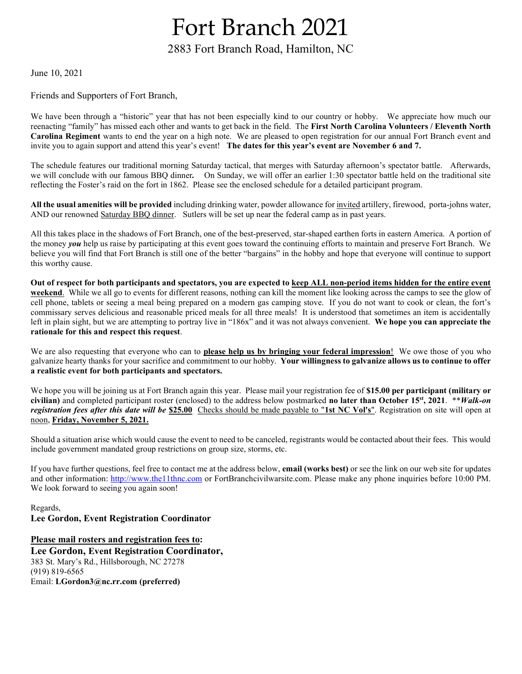## Fort Branch 2021

## 2883 Fort Branch Road, Hamilton, NC

June 10, 2021

Friends and Supporters of Fort Branch,

We have been through a "historic" year that has not been especially kind to our country or hobby. We appreciate how much our reenacting "family" has missed each other and wants to get back in the field. The First North Carolina Volunteers / Eleventh North Carolina Regiment wants to end the year on a high note. We are pleased to open registration for our annual Fort Branch event and invite you to again support and attend this year's event! The dates for this year's event are November 6 and 7.

The schedule features our traditional morning Saturday tactical, that merges with Saturday afternoon's spectator battle. Afterwards, we will conclude with our famous BBQ dinner. On Sunday, we will offer an earlier 1:30 spectator battle held on the traditional site reflecting the Foster's raid on the fort in 1862. Please see the enclosed schedule for a detailed participant program.

All the usual amenities will be provided including drinking water, powder allowance for invited artillery, firewood, porta-johns water, AND our renowned Saturday BBQ dinner. Sutlers will be set up near the federal camp as in past years.

All this takes place in the shadows of Fort Branch, one of the best-preserved, star-shaped earthen forts in eastern America. A portion of the money you help us raise by participating at this event goes toward the continuing efforts to maintain and preserve Fort Branch. We believe you will find that Fort Branch is still one of the better "bargains" in the hobby and hope that everyone will continue to support this worthy cause.

Out of respect for both participants and spectators, you are expected to keep ALL non-period items hidden for the entire event weekend. While we all go to events for different reasons, nothing can kill the moment like looking across the camps to see the glow of cell phone, tablets or seeing a meal being prepared on a modern gas camping stove. If you do not want to cook or clean, the fort's commissary serves delicious and reasonable priced meals for all three meals! It is understood that sometimes an item is accidentally left in plain sight, but we are attempting to portray live in "186x" and it was not always convenient. We hope you can appreciate the rationale for this and respect this request.

We are also requesting that everyone who can to **please help us by bringing your federal impression!** We owe those of you who galvanize hearty thanks for your sacrifice and commitment to our hobby. Your willingness to galvanize allows us to continue to offer a realistic event for both participants and spectators.

We hope you will be joining us at Fort Branch again this year. Please mail your registration fee of \$15.00 per participant (military or civilian) and completed participant roster (enclosed) to the address below postmarked no later than October 15<sup>st</sup>, 2021. \**Walk-on* registration fees after this date will be \$25.00 Checks should be made payable to "1st NC Vol's". Registration on site will open at noon, Friday, November 5, 2021.

Should a situation arise which would cause the event to need to be canceled, registrants would be contacted about their fees. This would include government mandated group restrictions on group size, storms, etc.

If you have further questions, feel free to contact me at the address below, **email (works best)** or see the link on our web site for updates and other information: http://www.the11thnc.com or FortBranchcivilwarsite.com. Please make any phone inquiries before 10:00 PM. We look forward to seeing you again soon!

Regards, Lee Gordon, Event Registration Coordinator

Please mail rosters and registration fees to: Lee Gordon, Event Registration Coordinator, 383 St. Mary's Rd., Hillsborough, NC 27278 (919) 819-6565 Email: LGordon3@nc.rr.com (preferred)